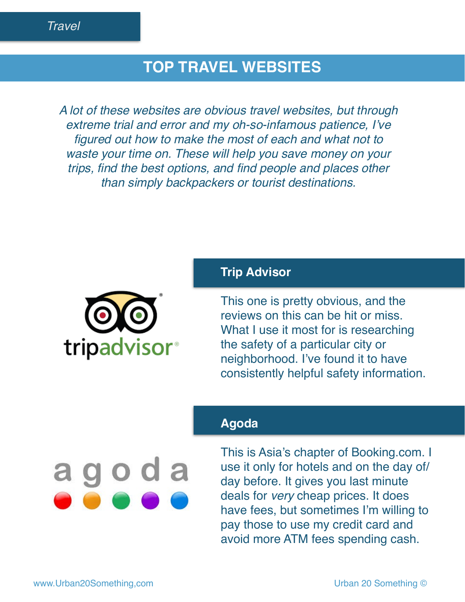# **TOP TRAVEL WEBSITES**

*A lot of these websites are obvious travel websites, but through extreme trial and error and my oh-so-infamous patience, I've figured out how to make the most of each and what not to waste your time on. These will help you save money on your trips, find the best options, and find people and places other than simply backpackers or tourist destinations.*

### **Trip Advisor**



This one is pretty obvious, and the reviews on this can be hit or miss. What I use it most for is researching the safety of a particular city or neighborhood. I've found it to have consistently helpful safety information.

## **Agoda**

agoda

This is Asia's chapter of Booking.com. I use it only for hotels and on the day of/ day before. It gives you last minute deals for *very* cheap prices. It does have fees, but sometimes I'm willing to pay those to use my credit card and avoid more ATM fees spending cash.